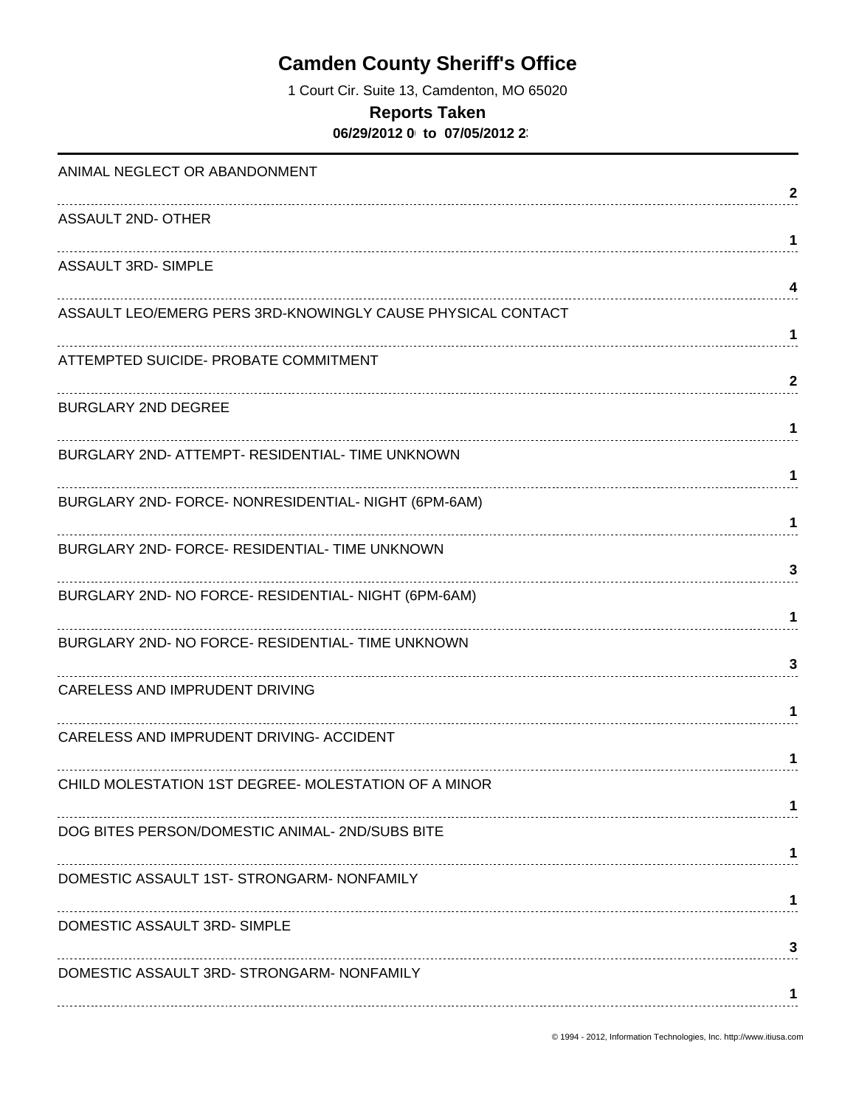1 Court Cir. Suite 13, Camdenton, MO 65020

### **Reports Taken**

**06/29/2012 00:00 to 07/05/2012 23:59**

| ANIMAL NEGLECT OR ABANDONMENT                               |              |
|-------------------------------------------------------------|--------------|
|                                                             | 2            |
| ASSAULT 2ND- OTHER                                          | $\mathbf 1$  |
| <b>ASSAULT 3RD- SIMPLE</b>                                  |              |
| ASSAULT LEO/EMERG PERS 3RD-KNOWINGLY CAUSE PHYSICAL CONTACT | 4            |
|                                                             | 1            |
| ATTEMPTED SUICIDE- PROBATE COMMITMENT                       |              |
| <b>BURGLARY 2ND DEGREE</b>                                  | $\mathbf{2}$ |
|                                                             | 1            |
| BURGLARY 2ND- ATTEMPT- RESIDENTIAL- TIME UNKNOWN            | 1.           |
| BURGLARY 2ND- FORCE- NONRESIDENTIAL- NIGHT (6PM-6AM)        |              |
|                                                             | $\mathbf 1$  |
| BURGLARY 2ND- FORCE- RESIDENTIAL- TIME UNKNOWN              | 3            |
| BURGLARY 2ND- NO FORCE- RESIDENTIAL- NIGHT (6PM-6AM)        |              |
| BURGLARY 2ND- NO FORCE- RESIDENTIAL- TIME UNKNOWN           | 1            |
|                                                             | 3            |
| CARELESS AND IMPRUDENT DRIVING                              | 1            |
| CARELESS AND IMPRUDENT DRIVING- ACCIDENT                    |              |
|                                                             | 1            |
| CHILD MOLESTATION 1ST DEGREE- MOLESTATION OF A MINOR        |              |
| DOG BITES PERSON/DOMESTIC ANIMAL-2ND/SUBS BITE              |              |
| DOMESTIC ASSAULT 1ST- STRONGARM- NONFAMILY                  |              |
|                                                             | 1            |
| DOMESTIC ASSAULT 3RD-SIMPLE                                 |              |
| DOMESTIC ASSAULT 3RD- STRONGARM- NONFAMILY                  | 3            |
|                                                             |              |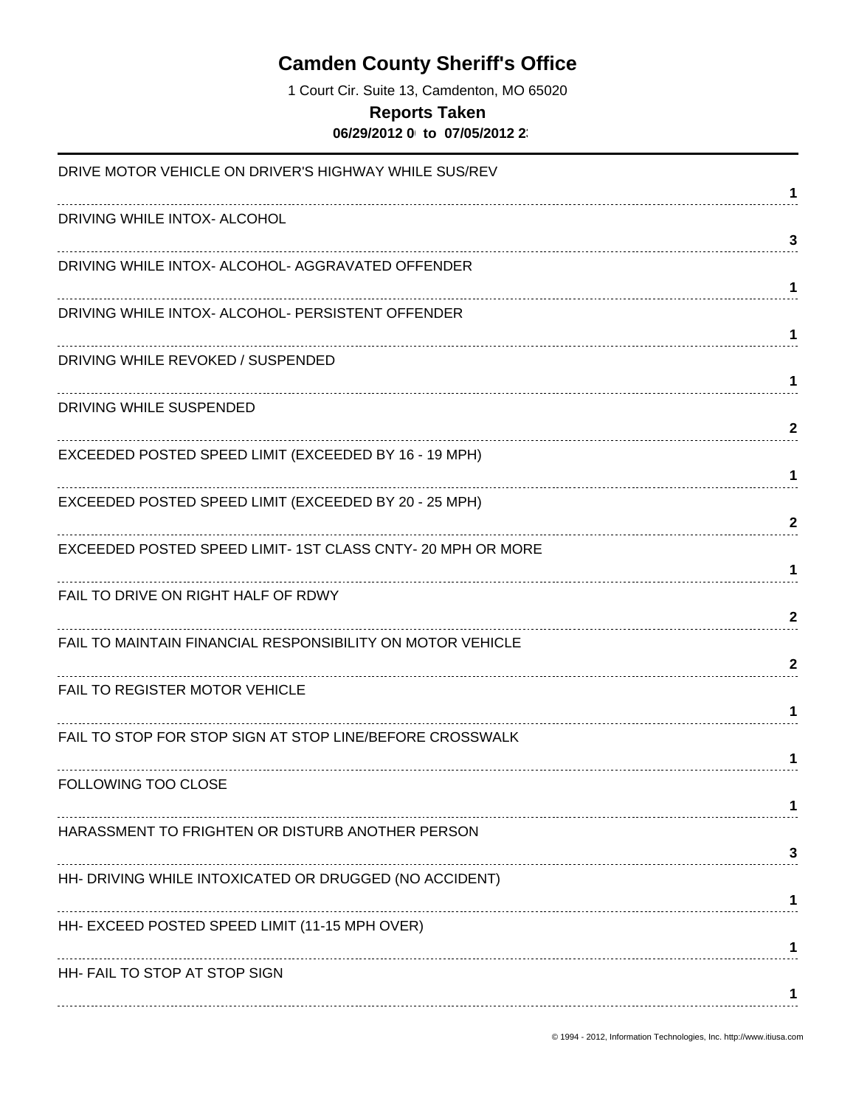1 Court Cir. Suite 13, Camdenton, MO 65020

#### **Reports Taken**

**06/29/2012 00:00 to 07/05/2012 23:59**

| DRIVE MOTOR VEHICLE ON DRIVER'S HIGHWAY WHILE SUS/REV       |              |
|-------------------------------------------------------------|--------------|
| DRIVING WHILE INTOX- ALCOHOL                                | 1            |
|                                                             | 3            |
| DRIVING WHILE INTOX- ALCOHOL- AGGRAVATED OFFENDER           | 1            |
| DRIVING WHILE INTOX- ALCOHOL- PERSISTENT OFFENDER           |              |
|                                                             | 1            |
| DRIVING WHILE REVOKED / SUSPENDED                           | 1            |
| DRIVING WHILE SUSPENDED                                     |              |
|                                                             | $\mathbf{2}$ |
| EXCEEDED POSTED SPEED LIMIT (EXCEEDED BY 16 - 19 MPH)       | 1            |
| EXCEEDED POSTED SPEED LIMIT (EXCEEDED BY 20 - 25 MPH)       |              |
|                                                             | $\mathbf{2}$ |
| EXCEEDED POSTED SPEED LIMIT- 1ST CLASS CNTY- 20 MPH OR MORE | 1            |
| FAIL TO DRIVE ON RIGHT HALF OF RDWY                         |              |
|                                                             | $\mathbf{2}$ |
| FAIL TO MAINTAIN FINANCIAL RESPONSIBILITY ON MOTOR VEHICLE  | $\mathbf{2}$ |
| FAIL TO REGISTER MOTOR VEHICLE                              |              |
|                                                             | 1.           |
| FAIL TO STOP FOR STOP SIGN AT STOP LINE/BEFORE CROSSWALK    |              |
| FOLLOWING TOO CLOSE                                         | 1            |
|                                                             |              |
| HARASSMENT TO FRIGHTEN OR DISTURB ANOTHER PERSON            |              |
|                                                             | 3            |
| HH- DRIVING WHILE INTOXICATED OR DRUGGED (NO ACCIDENT)      |              |
| HH- EXCEED POSTED SPEED LIMIT (11-15 MPH OVER)              |              |
|                                                             |              |
| HH- FAIL TO STOP AT STOP SIGN                               |              |
|                                                             |              |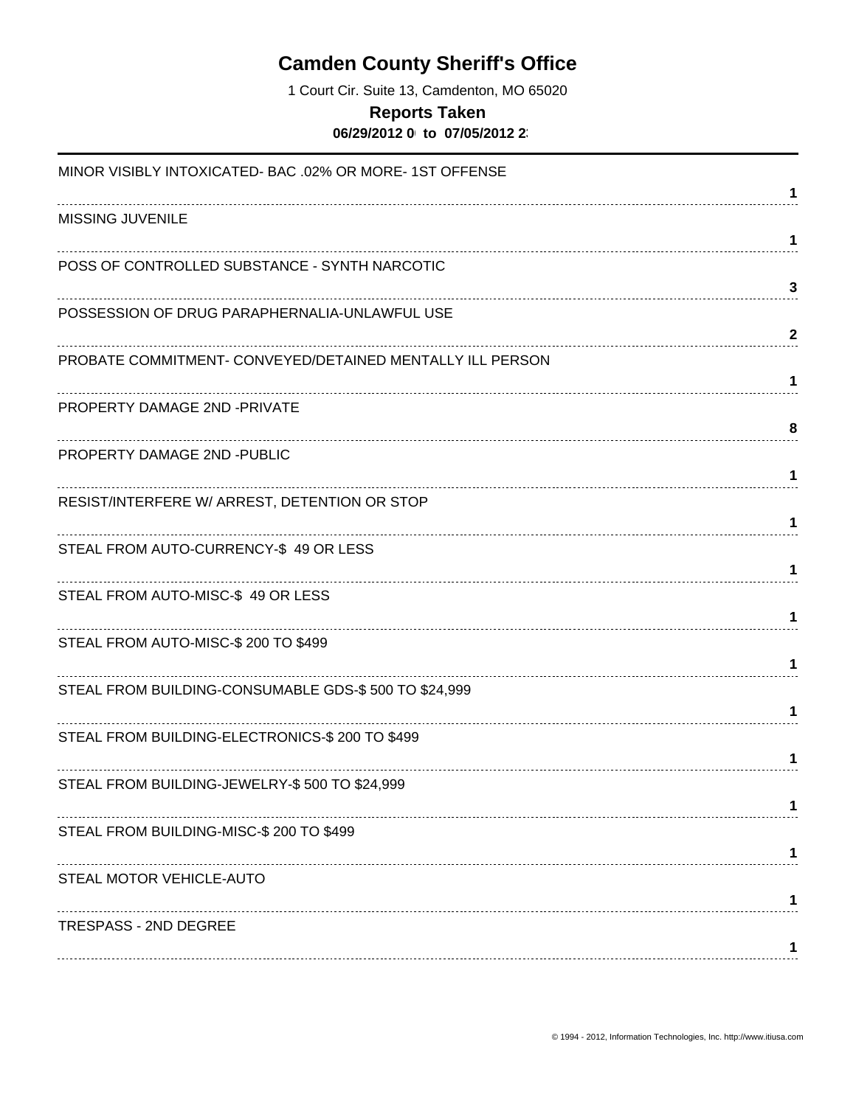1 Court Cir. Suite 13, Camdenton, MO 65020

#### **Reports Taken**

**06/29/2012 00:00 to 07/05/2012 23:59**

| MINOR VISIBLY INTOXICATED- BAC .02% OR MORE- 1ST OFFENSE  | 1                 |
|-----------------------------------------------------------|-------------------|
| <b>MISSING JUVENILE</b>                                   | 1                 |
| POSS OF CONTROLLED SUBSTANCE - SYNTH NARCOTIC             |                   |
| POSSESSION OF DRUG PARAPHERNALIA-UNLAWFUL USE             | 3<br>$\mathbf{2}$ |
| PROBATE COMMITMENT- CONVEYED/DETAINED MENTALLY ILL PERSON | 1                 |
| PROPERTY DAMAGE 2ND -PRIVATE                              | 8                 |
| PROPERTY DAMAGE 2ND -PUBLIC                               | 1                 |
| RESIST/INTERFERE W/ ARREST, DETENTION OR STOP             | 1                 |
| STEAL FROM AUTO-CURRENCY-\$49 OR LESS                     | 1                 |
| STEAL FROM AUTO-MISC-\$ 49 OR LESS                        | 1                 |
| STEAL FROM AUTO-MISC-\$ 200 TO \$499                      | 1                 |
| STEAL FROM BUILDING-CONSUMABLE GDS-\$500 TO \$24,999      | 1                 |
| STEAL FROM BUILDING-ELECTRONICS-\$ 200 TO \$499           | 1                 |
| STEAL FROM BUILDING-JEWELRY-\$500 TO \$24,999             |                   |
| STEAL FROM BUILDING-MISC-\$ 200 TO \$499                  |                   |
| STEAL MOTOR VEHICLE-AUTO                                  |                   |
| <b>TRESPASS - 2ND DEGREE</b>                              |                   |
|                                                           |                   |